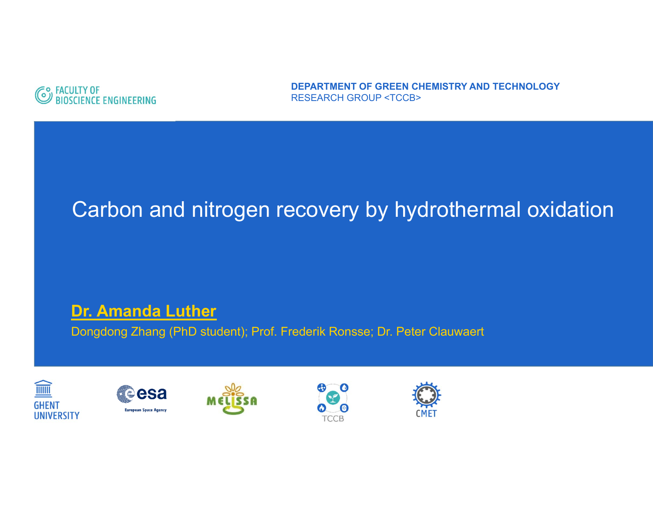

**DEPARTMENT OF GREEN CHEMISTRY AND TECHNOLOGY**RESEARCH GROUP <TCCB>

## Carbon and nitrogen recovery by hydrothermal oxidation

#### **Dr. Amanda Luther**

Dongdong Zhang (PhD student); Prof. Frederik Ronsse; Dr. Peter Clauwaert









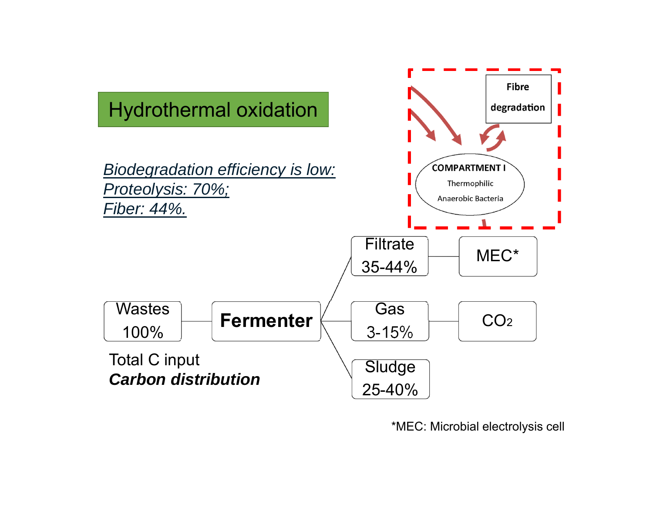

\*MEC: Microbial electrolysis cell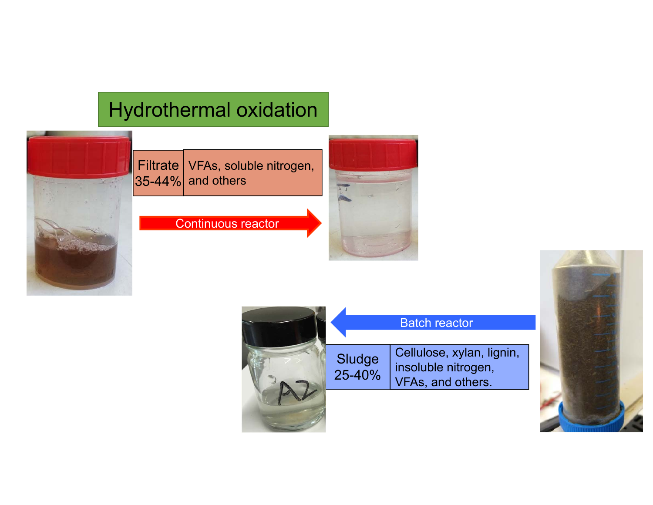## Hydrothermal oxidation

Filtrate 35-44% VFAs, soluble nitrogen, and others

Continuous reactor





Sludge 25-40% Cellulose, xylan, lignin, insoluble nitrogen, VFAs, and others. Batch reactor

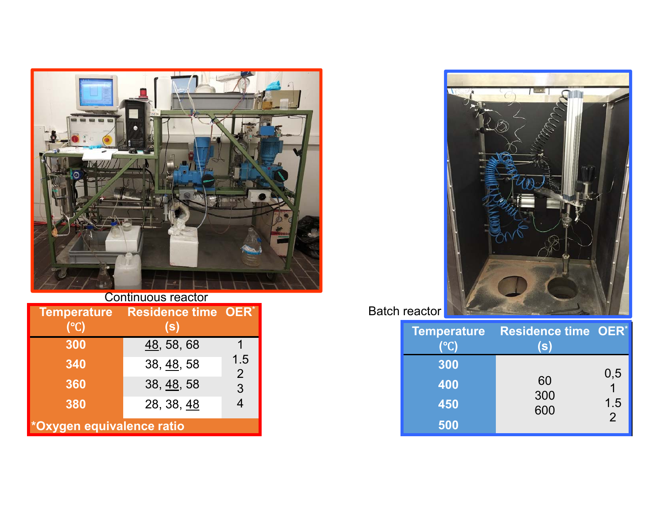

|  | Continuous reactor |
|--|--------------------|
|  |                    |

| <b>Temperature</b><br>(°C) | <b>Residence time OER*</b><br>(s) |                       |  |  |
|----------------------------|-----------------------------------|-----------------------|--|--|
| 300                        | 48, 58, 68                        |                       |  |  |
| 340                        | 38, 48, 58                        | 1.5<br>$\overline{2}$ |  |  |
| 360                        | 38, 48, 58                        | 3                     |  |  |
| 380                        | 28, 38, 48                        | 4                     |  |  |
| *Oxygen equivalence ratio  |                                   |                       |  |  |



| (°C) | Temperature Residence time OER*<br>(S) |                |
|------|----------------------------------------|----------------|
| 300  |                                        |                |
| 400  | 60<br>300                              | 0,5            |
| 450  | 600                                    | 1.5            |
| 500  |                                        | $\overline{2}$ |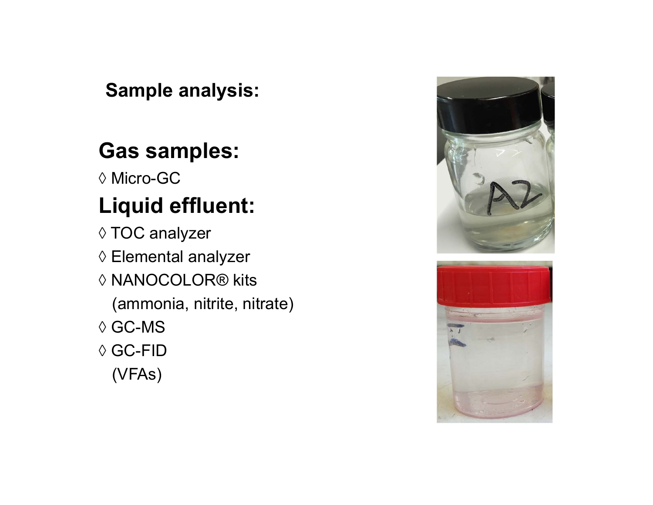### **Sample analysis:**

## **Gas samples:**

◊ Micro-GC

# **Liquid effluent:**

- ◊ TOC analyzer
- ◊ Elemental analyzer
- ◊ NANOCOLOR® kits
	- (ammonia, nitrite, nitrate)
- ◊ GC-MS
- ◊ GC-FID

(VFAs)



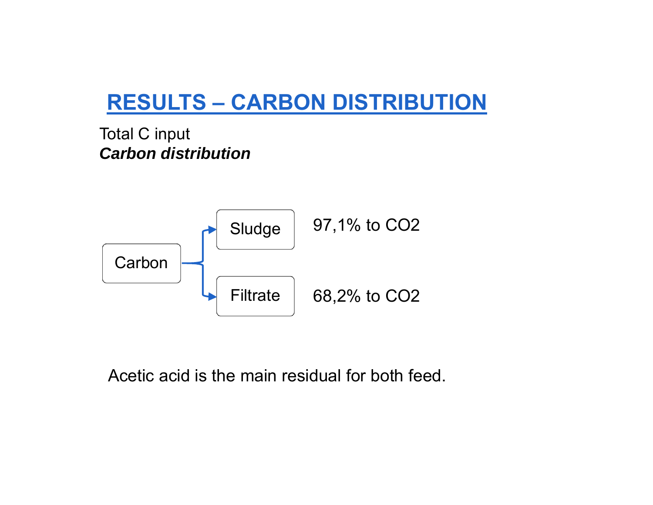## **RESULTS – CARBON DISTRIBUTION**

Total C input *Carbon distribution*



Acetic acid is the main residual for both feed.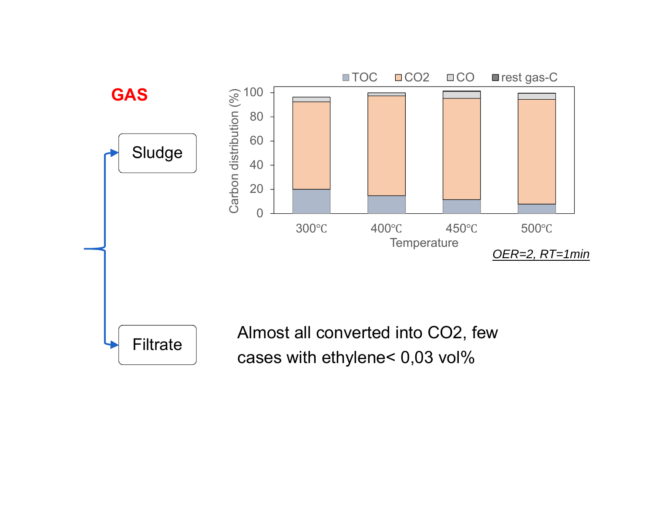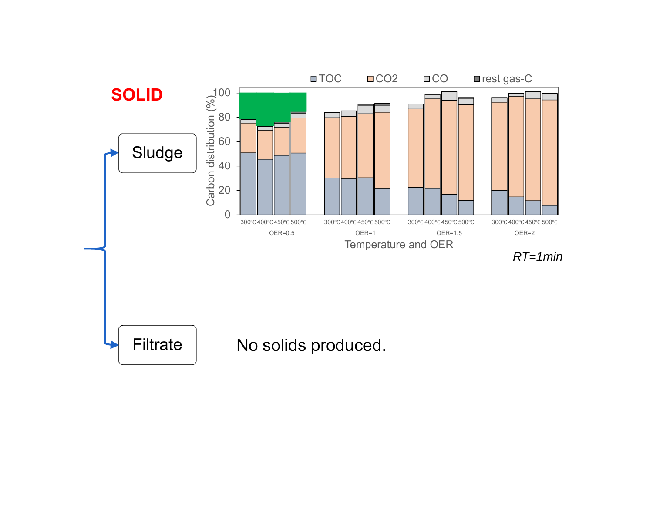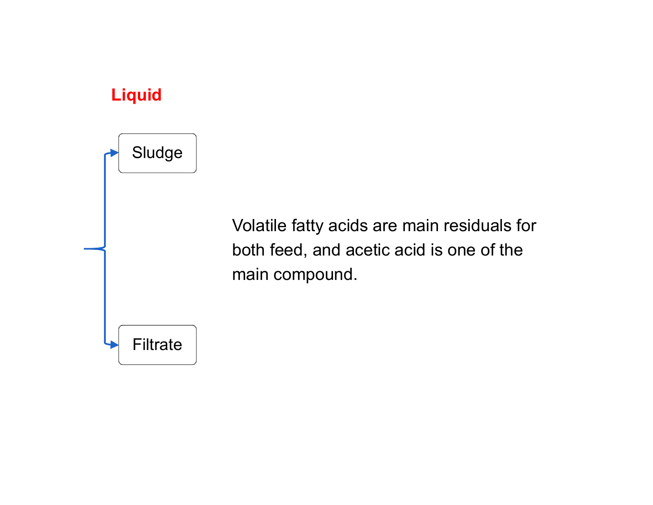#### **Liquid**



Volatile fatty acids are main residuals for both feed, and acetic acid is one of the main compound.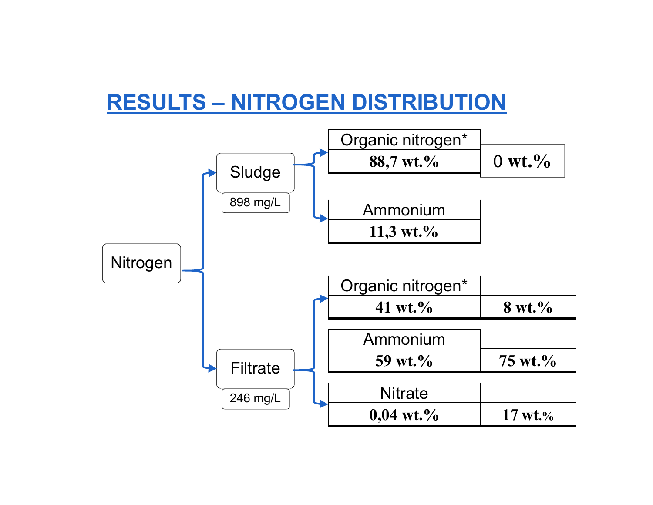## **RESULTS – NITROGEN DISTRIBUTION**

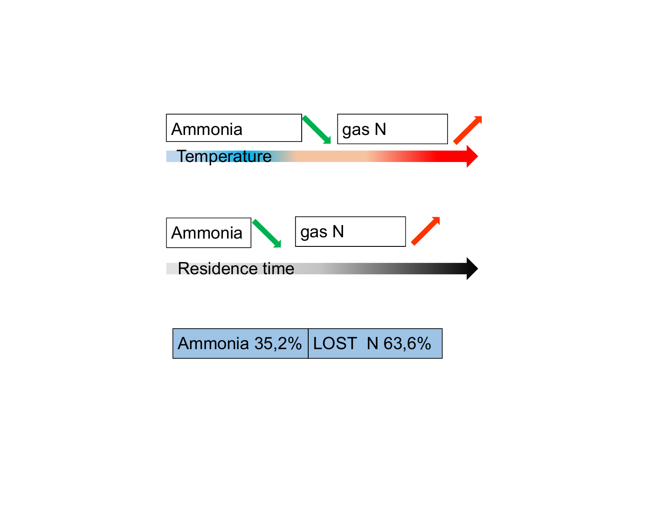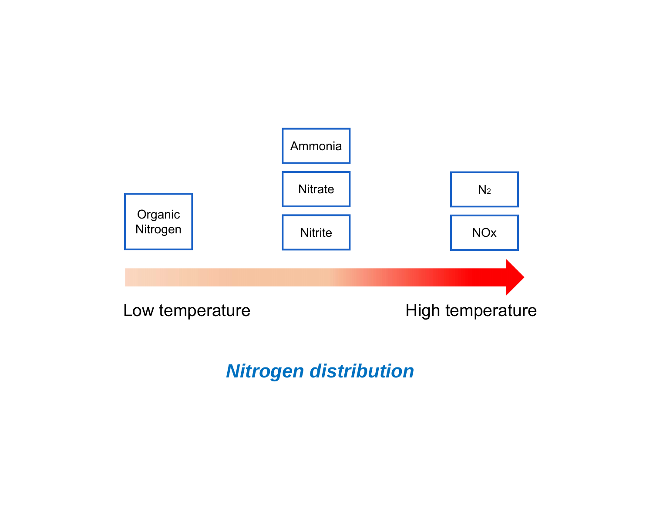

### *Nitrogen distribution*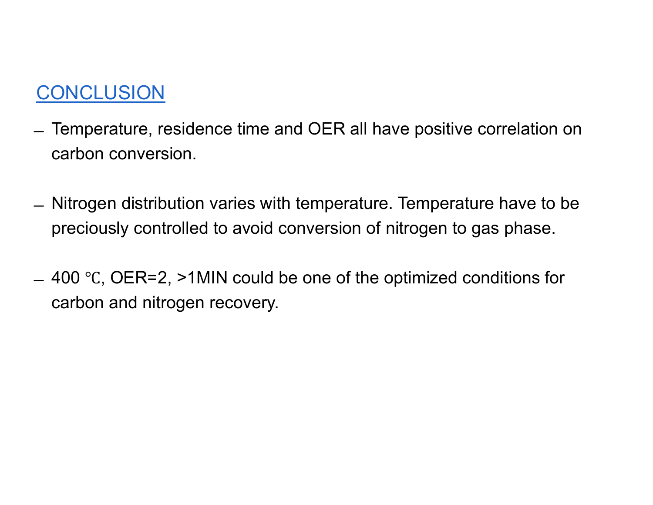### CONCLUSION

- ̶ Temperature, residence time and OER all have positive correlation on carbon conversion.
- ̶ Nitrogen distribution varies with temperature. Temperature have to be preciously controlled to avoid conversion of nitrogen to gas phase.
- $=$  400 °C, OER=2, >1MIN could be one of the optimized conditions for carbon and nitrogen recovery.